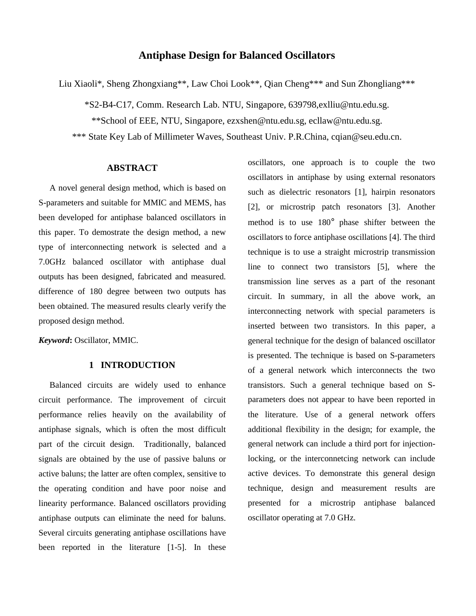## **Antiphase Design for Balanced Oscillators**

Liu Xiaoli\*, Sheng Zhongxiang\*\*, Law Choi Look\*\*, Qian Cheng\*\*\* and Sun Zhongliang\*\*\*

\*S2-B4-C17, Comm. Research Lab. NTU, Singapore, 639798,exlliu@ntu.edu.sg.

\*\*School of EEE, NTU, Singapore, ezxshen@ntu.edu.sg, ecllaw@ntu.edu.sg.

\*\*\* State Key Lab of Millimeter Waves, Southeast Univ. P.R.China, cqian@seu.edu.cn.

## **ABSTRACT**

A novel general design method, which is based on S-parameters and suitable for MMIC and MEMS, has been developed for antiphase balanced oscillators in this paper. To demostrate the design method, a new type of interconnecting network is selected and a 7.0GHz balanced oscillator with antiphase dual outputs has been designed, fabricated and measured. difference of 180 degree between two outputs has been obtained. The measured results clearly verify the proposed design method.

*Keyword***:** Oscillator, MMIC.

## **1 INTRODUCTION**

Balanced circuits are widely used to enhance circuit performance. The improvement of circuit performance relies heavily on the availability of antiphase signals, which is often the most difficult part of the circuit design. Traditionally, balanced signals are obtained by the use of passive baluns or active baluns; the latter are often complex, sensitive to the operating condition and have poor noise and linearity performance. Balanced oscillators providing antiphase outputs can eliminate the need for baluns. Several circuits generating antiphase oscillations have been reported in the literature [1-5]. In these

oscillators, one approach is to couple the two oscillators in antiphase by using external resonators such as dielectric resonators [1], hairpin resonators [2], or microstrip patch resonators [3]. Another method is to use 180° phase shifter between the oscillators to force antiphase oscillations [4]. The third technique is to use a straight microstrip transmission line to connect two transistors [5], where the transmission line serves as a part of the resonant circuit. In summary, in all the above work, an interconnecting network with special parameters is inserted between two transistors. In this paper, a general technique for the design of balanced oscillator is presented. The technique is based on S-parameters of a general network which interconnects the two transistors. Such a general technique based on Sparameters does not appear to have been reported in the literature. Use of a general network offers additional flexibility in the design; for example, the general network can include a third port for injectionlocking, or the interconnetcing network can include active devices. To demonstrate this general design technique, design and measurement results are presented for a microstrip antiphase balanced oscillator operating at 7.0 GHz.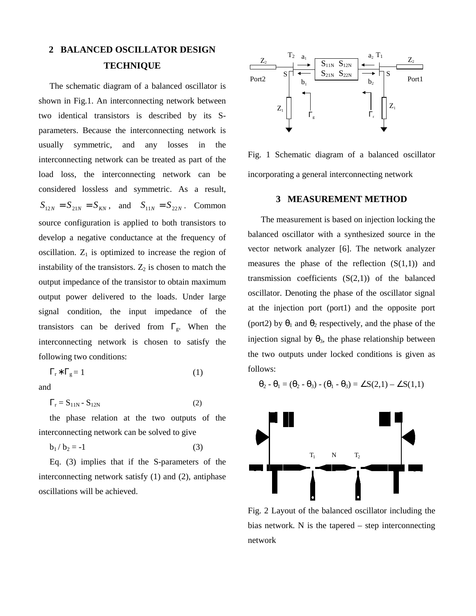# **2 BALANCED OSCILLATOR DESIGN TECHNIQUE**

The schematic diagram of a balanced oscillator is shown in Fig.1. An interconnecting network between two identical transistors is described by its Sparameters. Because the interconnecting network is usually symmetric, and any losses in the interconnecting network can be treated as part of the load loss, the interconnecting network can be considered lossless and symmetric. As a result,  $S_{12N} = S_{21N} = S_{KN}$ , and  $S_{11N} = S_{22N}$ . Common source configuration is applied to both transistors to develop a negative conductance at the frequency of oscillation.  $Z_1$  is optimized to increase the region of instability of the transistors.  $Z_2$  is chosen to match the output impedance of the transistor to obtain maximum output power delivered to the loads. Under large signal condition, the input impedance of the transistors can be derived from  $\Gamma_{\rm g}$ . When the interconnecting network is chosen to satisfy the following two conditions:

$$
\Gamma_{\rm r} \ast \Gamma_{\rm g} = 1 \tag{1}
$$

and

 $\Gamma_{\rm r} = S_{11N} - S_{12N}$  (2)

the phase relation at the two outputs of the interconnecting network can be solved to give

$$
\mathbf{b}_1 / \mathbf{b}_2 = -1 \tag{3}
$$

Eq. (3) implies that if the S-parameters of the interconnecting network satisfy (1) and (2), antiphase oscillations will be achieved.



Fig. 1 Schematic diagram of a balanced oscillator incorporating a general interconnecting network

#### **3 MEASUREMENT METHOD**

The measurement is based on injection locking the balanced oscillator with a synthesized source in the vector network analyzer [6]. The network analyzer measures the phase of the reflection  $(S(1,1))$  and transmission coefficients  $(S(2,1))$  of the balanced oscillator. Denoting the phase of the oscillator signal at the injection port (port1) and the opposite port (port2) by  $\theta_1$  and  $\theta_2$  respectively, and the phase of the injection signal by  $\theta_3$ , the phase relationship between the two outputs under locked conditions is given as follows:

$$
\theta_2 - \theta_1 = (\theta_2 - \theta_3) - (\theta_1 - \theta_3) = \angle S(2,1) - \angle S(1,1)
$$



Fig. 2 Layout of the balanced oscillator including the bias network. N is the tapered – step interconnecting network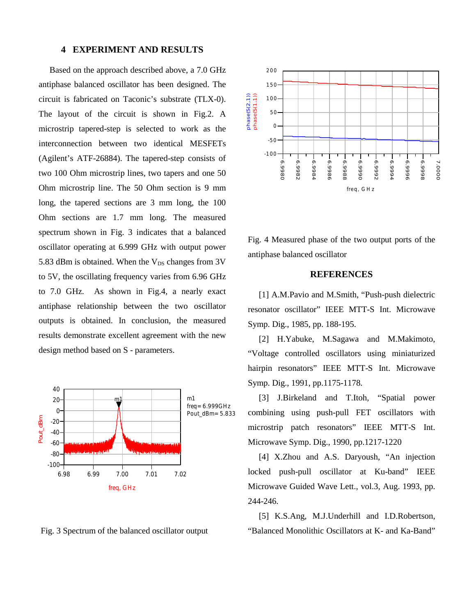### **4 EXPERIMENT AND RESULTS**

Based on the approach described above, a 7.0 GHz antiphase balanced oscillator has been designed. The circuit is fabricated on Taconic's substrate (TLX-0). The layout of the circuit is shown in Fig.2. A microstrip tapered-step is selected to work as the interconnection between two identical MESFETs (Agilent's ATF-26884). The tapered-step consists of two 100 Ohm microstrip lines, two tapers and one 50 Ohm microstrip line. The 50 Ohm section is 9 mm long, the tapered sections are 3 mm long, the 100 Ohm sections are 1.7 mm long. The measured spectrum shown in Fig. 3 indicates that a balanced oscillator operating at 6.999 GHz with output power 5.83 dBm is obtained. When the  $V_{DS}$  changes from 3V to 5V, the oscillating frequency varies from 6.96 GHz to 7.0 GHz. As shown in Fig.4, a nearly exact antiphase relationship between the two oscillator outputs is obtained. In conclusion, the measured results demonstrate excellent agreement with the new design method based on S - parameters.



Fig. 3 Spectrum of the balanced oscillator output



Fig. 4 Measured phase of the two output ports of the antiphase balanced oscillator

### **REFERENCES**

[1] A.M.Pavio and M.Smith, "Push-push dielectric resonator oscillator" IEEE MTT-S Int. Microwave Symp. Dig., 1985, pp. 188-195.

[2] H.Yabuke, M.Sagawa and M.Makimoto, "Voltage controlled oscillators using miniaturized hairpin resonators" IEEE MTT-S Int. Microwave Symp. Dig., 1991, pp.1175-1178.

[3] J.Birkeland and T.Itoh, "Spatial power combining using push-pull FET oscillators with microstrip patch resonators" IEEE MTT-S Int. Microwave Symp. Dig., 1990, pp.1217-1220

[4] X.Zhou and A.S. Daryoush, "An injection locked push-pull oscillator at Ku-band" IEEE Microwave Guided Wave Lett., vol.3, Aug. 1993, pp. 244-246.

[5] K.S.Ang, M.J.Underhill and I.D.Robertson, "Balanced Monolithic Oscillators at K- and Ka-Band"